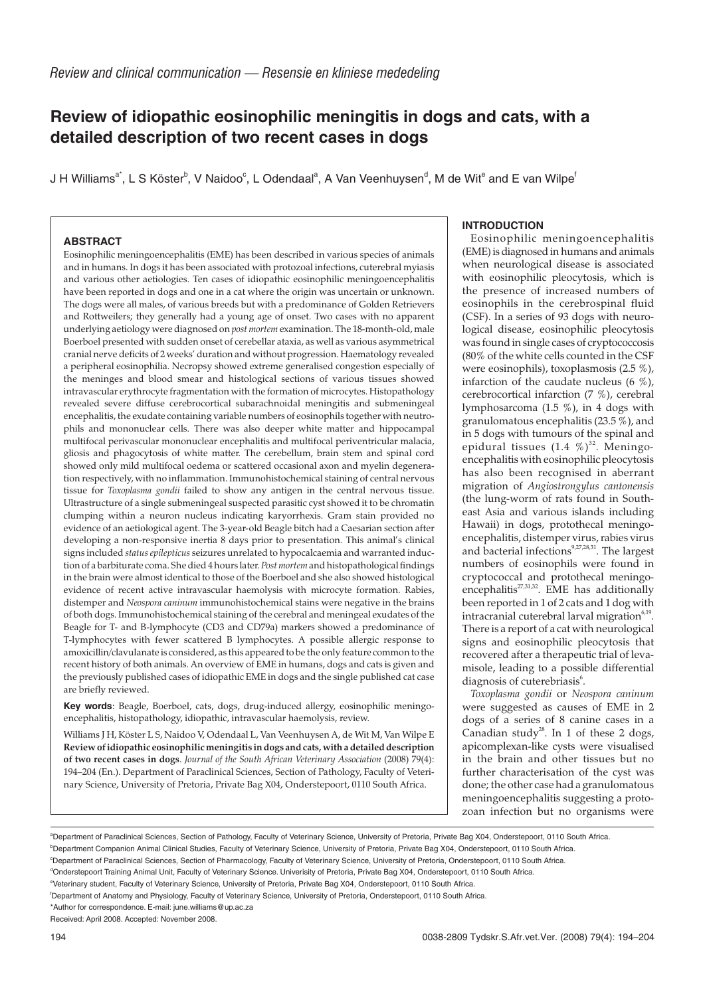# **Review of idiopathic eosinophilic meningitis in dogs and cats, with a detailed description of two recent cases in dogs**

J H Williams $^{\text{a}^\star}$ , L S Köster $^{\text{b}}$ , V Naidoo $^{\text{c}}$ , L Odendaal $^{\text{a}}$ , A Van Veenhuysen $^{\text{d}}$ , M de Wit $^{\text{e}}$  and E van Wilpe $^{\text{i}}$ 

# **ABSTRACT**

Eosinophilic meningoencephalitis (EME) has been described in various species of animals and in humans. In dogs it has been associated with protozoal infections, cuterebral myiasis and various other aetiologies. Ten cases of idiopathic eosinophilic meningoencephalitis have been reported in dogs and one in a cat where the origin was uncertain or unknown. The dogs were all males, of various breeds but with a predominance of Golden Retrievers and Rottweilers; they generally had a young age of onset. Two cases with no apparent underlying aetiology were diagnosed on *post mortem* examination. The 18-month-old, male Boerboel presented with sudden onset of cerebellar ataxia, as well as various asymmetrical cranial nerve deficits of 2 weeks' duration and without progression. Haematology revealed a peripheral eosinophilia. Necropsy showed extreme generalised congestion especially of the meninges and blood smear and histological sections of various tissues showed intravascular erythrocyte fragmentation with the formation of microcytes. Histopathology revealed severe diffuse cerebrocortical subarachnoidal meningitis and submeningeal encephalitis, the exudate containing variable numbers of eosinophils together with neutrophils and mononuclear cells. There was also deeper white matter and hippocampal multifocal perivascular mononuclear encephalitis and multifocal periventricular malacia, gliosis and phagocytosis of white matter. The cerebellum, brain stem and spinal cord showed only mild multifocal oedema or scattered occasional axon and myelin degeneration respectively, with no inflammation. Immunohistochemical staining of central nervous tissue for *Toxoplasma gondii* failed to show any antigen in the central nervous tissue. Ultrastructure of a single submeningeal suspected parasitic cyst showed it to be chromatin clumping within a neuron nucleus indicating karyorrhexis. Gram stain provided no evidence of an aetiological agent. The 3-year-old Beagle bitch had a Caesarian section after developing a non-responsive inertia 8 days prior to presentation. This animal's clinical signs included *status epilepticus* seizures unrelated to hypocalcaemia and warranted induction of a barbiturate coma. She died 4 hours later. *Post mortem*and histopathological findings in the brain were almost identical to those of the Boerboel and she also showed histological evidence of recent active intravascular haemolysis with microcyte formation. Rabies, distemper and *Neospora caninum* immunohistochemical stains were negative in the brains of both dogs. Immunohistochemical staining of the cerebral and meningeal exudates of the Beagle for T- and B-lymphocyte (CD3 and CD79a) markers showed a predominance of T-lymphocytes with fewer scattered B lymphocytes. A possible allergic response to amoxicillin/clavulanate is considered, as this appeared to be the only feature common to the recent history of both animals. An overview of EME in humans, dogs and cats is given and the previously published cases of idiopathic EME in dogs and the single published cat case are briefly reviewed.

**Key words**: Beagle, Boerboel, cats, dogs, drug-induced allergy, eosinophilic meningoencephalitis, histopathology, idiopathic, intravascular haemolysis, review.

Williams J H, Köster L S, Naidoo V, Odendaal L, Van Veenhuysen A, de Wit M, Van Wilpe E **Review of idiopathic eosinophilic meningitis in dogs and cats, with a detailed description of two recent cases in dogs**. *Journal of the South African Veterinary Association* (2008) 79(4): 194–204 (En.). Department of Paraclinical Sciences, Section of Pathology, Faculty of Veterinary Science, University of Pretoria, Private Bag X04, Onderstepoort, 0110 South Africa.

# **INTRODUCTION**

Eosinophilic meningoencephalitis (EME) is diagnosed in humans and animals when neurological disease is associated with eosinophilic pleocytosis, which is the presence of increased numbers of eosinophils in the cerebrospinal fluid (CSF). In a series of 93 dogs with neurological disease, eosinophilic pleocytosis was found in single cases of cryptococcosis (80% of the white cells counted in the CSF were eosinophils), toxoplasmosis (2.5 %), infarction of the caudate nucleus (6 %), cerebrocortical infarction (7 %), cerebral lymphosarcoma (1.5 %), in 4 dogs with granulomatous encephalitis (23.5 %), and in 5 dogs with tumours of the spinal and epidural tissues  $(1.4 \%)^{32}$ . Meningoencephalitis with eosinophilic pleocytosis has also been recognised in aberrant migration of *Angiostrongylus cantonensis* (the lung-worm of rats found in Southeast Asia and various islands including Hawaii) in dogs, protothecal meningoencephalitis, distemper virus, rabies virus and bacterial infections $9,27,28,31$ . The largest numbers of eosinophils were found in cryptococcal and protothecal meningoencephalitis $27,31,32$ . EME has additionally been reported in 1 of 2 cats and 1 dog with intracranial cuterebral larval migration<sup>6,19</sup>. There is a report of a cat with neurological signs and eosinophilic pleocytosis that recovered after a therapeutic trial of levamisole, leading to a possible differential diagnosis of cuterebriasis<sup>6</sup>.

*Toxoplasma gondii* or *Neospora caninum* were suggested as causes of EME in 2 dogs of a series of 8 canine cases in a Canadian study<sup>28</sup>. In 1 of these 2 dogs, apicomplexan-like cysts were visualised in the brain and other tissues but no further characterisation of the cyst was done; the other case had a granulomatous meningoencephalitis suggesting a protozoan infection but no organisms were

e Veterinary student, Faculty of Veterinary Science, University of Pretoria, Private Bag X04, Onderstepoort, 0110 South Africa.

Received: April 2008. Accepted: November 2008.

a Department of Paraclinical Sciences, Section of Pathology, Faculty of Veterinary Science, University of Pretoria, Private Bag X04, Onderstepoort, 0110 South Africa.

b Department Companion Animal Clinical Studies, Faculty of Veterinary Science, University of Pretoria, Private Bag X04, Onderstepoort, 0110 South Africa.

c Department of Paraclinical Sciences, Section of Pharmacology, Faculty of Veterinary Science, University of Pretoria, Onderstepoort, 0110 South Africa.

d Onderstepoort Training Animal Unit, Faculty of Veterinary Science. Univerisity of Pretoria, Private Bag X04, Onderstepoort, 0110 South Africa.

f Department of Anatomy and Physiology, Faculty of Veterinary Science, University of Pretoria, Onderstepoort, 0110 South Africa.

<sup>\*</sup>Author for correspondence. E-mail: june.williams@up.ac.za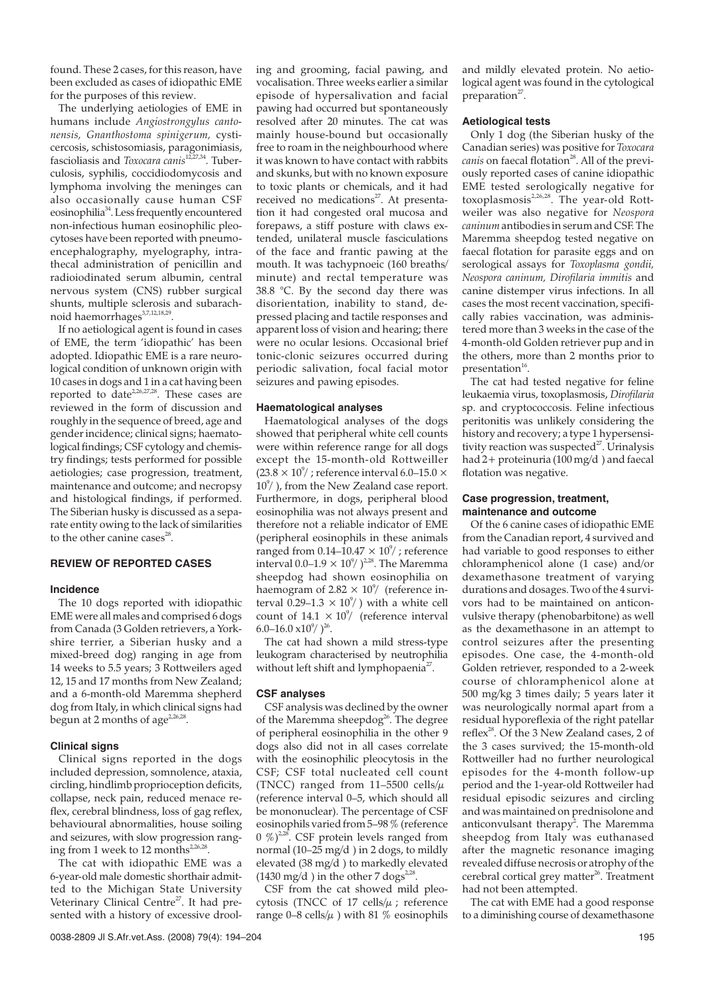found. These 2 cases, for this reason, have been excluded as cases of idiopathic EME for the purposes of this review.

The underlying aetiologies of EME in humans include *Angiostrongylus cantonensis, Gnanthostoma spinigerum,* cysticercosis, schistosomiasis, paragonimiasis, fascioliasis and *Toxocara canis*12,27,34. Tuberculosis, syphilis, coccidiodomycosis and lymphoma involving the meninges can also occasionally cause human CSF eosinophilia<sup>34</sup>. Less frequently encountered non-infectious human eosinophilic pleocytoses have been reported with pneumoencephalography, myelography, intrathecal administration of penicillin and radioiodinated serum albumin, central nervous system (CNS) rubber surgical shunts, multiple sclerosis and subarachnoid haemorrhages<sup>3,7,12,18,29</sup>.

If no aetiological agent is found in cases of EME, the term 'idiopathic' has been adopted. Idiopathic EME is a rare neurological condition of unknown origin with 10 cases in dogs and 1 in a cat having been reported to date<sup>2,26,27,28</sup>. These cases are reviewed in the form of discussion and roughly in the sequence of breed, age and gender incidence; clinical signs; haematological findings; CSF cytology and chemistry findings; tests performed for possible aetiologies; case progression, treatment, maintenance and outcome; and necropsy and histological findings, if performed. The Siberian husky is discussed as a separate entity owing to the lack of similarities to the other canine cases<sup>28</sup>.

# **REVIEW OF REPORTED CASES**

## **Incidence**

The 10 dogs reported with idiopathic EME were all males and comprised 6 dogs from Canada (3 Golden retrievers, a Yorkshire terrier, a Siberian husky and a mixed-breed dog) ranging in age from 14 weeks to 5.5 years; 3 Rottweilers aged 12, 15 and 17 months from New Zealand; and a 6-month-old Maremma shepherd dog from Italy, in which clinical signs had begun at 2 months of age $2,26,28$ .

# **Clinical signs**

Clinical signs reported in the dogs included depression, somnolence, ataxia, circling, hindlimb proprioception deficits, collapse, neck pain, reduced menace reflex, cerebral blindness, loss of gag reflex, behavioural abnormalities, house soiling and seizures, with slow progression ranging from 1 week to 12 months<sup>2,26,28</sup>

The cat with idiopathic EME was a 6-year-old male domestic shorthair admitted to the Michigan State University Veterinary Clinical Centre<sup>27</sup>. It had presented with a history of excessive drool-

0038-2809 Jl S.Afr.vet.Ass. (2008) 79(4): 194-204 195

ing and grooming, facial pawing, and vocalisation. Three weeks earlier a similar episode of hypersalivation and facial pawing had occurred but spontaneously resolved after 20 minutes. The cat was mainly house-bound but occasionally free to roam in the neighbourhood where it was known to have contact with rabbits and skunks, but with no known exposure to toxic plants or chemicals, and it had received no medications<sup>27</sup>. At presentation it had congested oral mucosa and forepaws, a stiff posture with claws extended, unilateral muscle fasciculations of the face and frantic pawing at the mouth. It was tachypnoeic (160 breaths/ minute) and rectal temperature was 38.8 °C. By the second day there was disorientation, inability to stand, depressed placing and tactile responses and apparent loss of vision and hearing; there were no ocular lesions. Occasional brief tonic-clonic seizures occurred during periodic salivation, focal facial motor seizures and pawing episodes.

#### **Haematological analyses**

Haematological analyses of the dogs showed that peripheral white cell counts were within reference range for all dogs except the 15-month-old Rottweiller  $(23.8 \times 10^9)$ ; reference interval 6.0–15.0  $\times$  $10\%$ ), from the New Zealand case report. Furthermore, in dogs, peripheral blood eosinophilia was not always present and therefore not a reliable indicator of EME (peripheral eosinophils in these animals ranged from 0.14–10.47  $\times$  10<sup>9</sup>/; reference interval  $0.0-1.9 \times 10^9$ / $)^{2.28}$ . The Maremma sheepdog had shown eosinophilia on haemogram of  $2.82 \times 10^9$ / (reference interval 0.29–1.3  $\times$  10<sup>9</sup>/) with a white cell count of  $14.1 \times 10^9$ / (reference interval 6.0–16.0  $\times 10^{9}$ / $)^{26}$ .

The cat had shown a mild stress-type leukogram characterised by neutrophilia without left shift and lymphopaenia $^{27}$ .

#### **CSF analyses**

CSF analysis was declined by the owner of the Maremma sheepdog<sup>26</sup>. The degree of peripheral eosinophilia in the other 9 dogs also did not in all cases correlate with the eosinophilic pleocytosis in the CSF; CSF total nucleated cell count (TNCC) ranged from 11-5500 cells/ $\mu$ (reference interval 0–5, which should all be mononuclear). The percentage of CSF eosinophils varied from 5–98 % (reference 0 %)<sup>2,28</sup>. CSF protein levels ranged from normal (10–25 mg/d) in 2 dogs, to mildly elevated (38 mg/d ) to markedly elevated (1430 mg/d) in the other 7 dogs<sup>2,2</sup>

CSF from the cat showed mild pleocytosis (TNCC of 17 cells/ $\mu$ ; reference range  $0-8$  cells/ $\mu$ ) with 81 % eosinophils

and mildly elevated protein. No aetiological agent was found in the cytological preparation<sup>27</sup>.

#### **Aetiological tests**

Only 1 dog (the Siberian husky of the Canadian series) was positive for *Toxocara* canis on faecal flotation<sup>28</sup>. All of the previously reported cases of canine idiopathic EME tested serologically negative for toxoplasmosis<sup>2,26,28</sup>. The year-old Rottweiler was also negative for *Neospora caninum* antibodies in serum and CSF. The Maremma sheepdog tested negative on faecal flotation for parasite eggs and on serological assays for *Toxoplasma gondii, Neospora caninum, Dirofilaria immitis* and canine distemper virus infections. In all cases the most recent vaccination, specifically rabies vaccination, was administered more than 3 weeks in the case of the 4-month-old Golden retriever pup and in the others, more than 2 months prior to presentation<sup>16</sup>.

The cat had tested negative for feline leukaemia virus, toxoplasmosis, *Dirofilaria* sp. and cryptococcosis. Feline infectious peritonitis was unlikely considering the history and recovery; a type 1 hypersensitivity reaction was suspected $27$ . Urinalysis had 2+ proteinuria (100 mg/d ) and faecal flotation was negative.

## **Case progression, treatment, maintenance and outcome**

Of the 6 canine cases of idiopathic EME from the Canadian report, 4 survived and had variable to good responses to either chloramphenicol alone (1 case) and/or dexamethasone treatment of varying durations and dosages. Two of the 4 survivors had to be maintained on anticonvulsive therapy (phenobarbitone) as well as the dexamethasone in an attempt to control seizures after the presenting episodes. One case, the 4-month-old Golden retriever, responded to a 2-week course of chloramphenicol alone at 500 mg/kg 3 times daily; 5 years later it was neurologically normal apart from a residual hyporeflexia of the right patellar reflex<sup>28</sup>. Of the 3 New Zealand cases, 2 of the 3 cases survived; the 15-month-old Rottweiller had no further neurological episodes for the 4-month follow-up period and the 1-year-old Rottweiler had residual episodic seizures and circling and was maintained on prednisolone and anticonvulsant therapy<sup>2</sup>. The Maremma sheepdog from Italy was euthanased after the magnetic resonance imaging revealed diffuse necrosis or atrophy of the cerebral cortical grey matter<sup>26</sup>. Treatment had not been attempted.

The cat with EME had a good response to a diminishing course of dexamethasone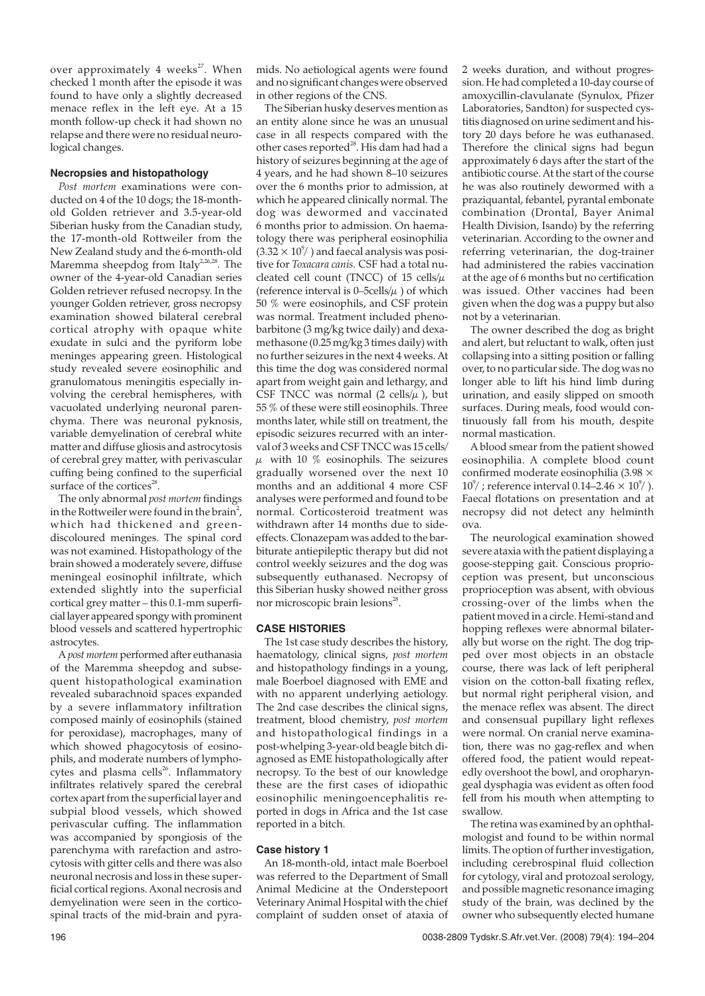over approximately 4 weeks $^{27}$ . When checked 1 month after the episode it was found to have only a slightly decreased menace reflex in the left eye. At a 15 month follow-up check it had shown no relapse and there were no residual neurological changes.

# **Necropsies and histopathology**

*Post mortem* examinations were conducted on 4 of the 10 dogs; the 18-monthold Golden retriever and 3.5-year-old Siberian husky from the Canadian study, the 17-month-old Rottweiler from the New Zealand study and the 6-month-old Maremma sheepdog from Italy<sup>2,26,28</sup>. The owner of the 4-year-old Canadian series Golden retriever refused necropsy. In the younger Golden retriever, gross necropsy examination showed bilateral cerebral cortical atrophy with opaque white exudate in sulci and the pyriform lobe meninges appearing green. Histological study revealed severe eosinophilic and granulomatous meningitis especially involving the cerebral hemispheres, with vacuolated underlying neuronal parenchyma. There was neuronal pyknosis, variable demyelination of cerebral white matter and diffuse gliosis and astrocytosis of cerebral grey matter, with perivascular cuffing being confined to the superficial surface of the cortices<sup>28</sup>.

The only abnormal *post mortem* findings in the Rottweiler were found in the brain $^2$ , which had thickened and greendiscoloured meninges. The spinal cord was not examined. Histopathology of the brain showed a moderately severe, diffuse meningeal eosinophil infiltrate, which extended slightly into the superficial cortical grey matter – this 0.1-mm superficial layer appeared spongy with prominent blood vessels and scattered hypertrophic astrocytes.

A*post mortem* performed after euthanasia of the Maremma sheepdog and subsequent histopathological examination revealed subarachnoid spaces expanded by a severe inflammatory infiltration composed mainly of eosinophils (stained for peroxidase), macrophages, many of which showed phagocytosis of eosinophils, and moderate numbers of lymphocytes and plasma cells<sup>26</sup>. Inflammatory infiltrates relatively spared the cerebral cortex apart from the superficial layer and subpial blood vessels, which showed perivascular cuffing. The inflammation was accompanied by spongiosis of the parenchyma with rarefaction and astrocytosis with gitter cells and there was also neuronal necrosis and loss in these superficial cortical regions. Axonal necrosis and demyelination were seen in the corticospinal tracts of the mid-brain and pyramids. No aetiological agents were found and no significant changes were observed in other regions of the CNS.

The Siberian husky deserves mention as an entity alone since he was an unusual case in all respects compared with the other cases reported<sup>28</sup>. His dam had had a history of seizures beginning at the age of 4 years, and he had shown 8–10 seizures over the 6 months prior to admission, at which he appeared clinically normal. The dog was dewormed and vaccinated 6 months prior to admission. On haematology there was peripheral eosinophilia  $(3.32 \times 10^9)$  and faecal analysis was positive for *Toxacara canis.* CSF had a total nucleated cell count (TNCC) of 15 cells/ $\mu$ (reference interval is  $0$ -5cells/ $\mu$ ) of which 50 % were eosinophils, and CSF protein was normal. Treatment included phenobarbitone (3 mg/kg twice daily) and dexamethasone (0.25 mg/kg 3 times daily) with no further seizures in the next 4 weeks. At this time the dog was considered normal apart from weight gain and lethargy, and CSF TNCC was normal (2 cells/ $\mu$ ), but 55 % of these were still eosinophils. Three months later, while still on treatment, the episodic seizures recurred with an interval of 3 weeks and CSF TNCC was 15 cells/  $\mu$  with 10 % eosinophils. The seizures gradually worsened over the next 10 months and an additional 4 more CSF analyses were performed and found to be normal. Corticosteroid treatment was withdrawn after 14 months due to sideeffects. Clonazepam was added to the barbiturate antiepileptic therapy but did not control weekly seizures and the dog was subsequently euthanased. Necropsy of this Siberian husky showed neither gross nor microscopic brain lesions<sup>28</sup>.

## **CASE HISTORIES**

The 1st case study describes the history, haematology, clinical signs, *post mortem* and histopathology findings in a young, male Boerboel diagnosed with EME and with no apparent underlying aetiology. The 2nd case describes the clinical signs, treatment, blood chemistry, *post mortem* and histopathological findings in a post-whelping 3-year-old beagle bitch diagnosed as EME histopathologically after necropsy. To the best of our knowledge these are the first cases of idiopathic eosinophilic meningoencephalitis reported in dogs in Africa and the 1st case reported in a bitch.

#### **Case history 1**

An 18-month-old, intact male Boerboel was referred to the Department of Small Animal Medicine at the Onderstepoort Veterinary Animal Hospital with the chief complaint of sudden onset of ataxia of

2 weeks duration, and without progression. He had completed a 10-day course of amoxycillin-clavulanate (Synulox, Pfizer Laboratories, Sandton) for suspected cystitis diagnosed on urine sediment and history 20 days before he was euthanased. Therefore the clinical signs had begun approximately 6 days after the start of the antibiotic course. At the start of the course he was also routinely dewormed with a praziquantal, febantel, pyrantal embonate combination (Drontal, Bayer Animal Health Division, Isando) by the referring veterinarian. According to the owner and referring veterinarian, the dog-trainer had administered the rabies vaccination at the age of 6 months but no certification was issued. Other vaccines had been given when the dog was a puppy but also not by a veterinarian.

The owner described the dog as bright and alert, but reluctant to walk, often just collapsing into a sitting position or falling over, to no particular side. The dog was no longer able to lift his hind limb during urination, and easily slipped on smooth surfaces. During meals, food would continuously fall from his mouth, despite normal mastication.

A blood smear from the patient showed eosinophilia. A complete blood count confirmed moderate eosinophilia (3.98 ×  $10^9$ /; reference interval 0.14–2.46  $\times 10^9$ /). Faecal flotations on presentation and at necropsy did not detect any helminth ova.

The neurological examination showed severe ataxia with the patient displaying a goose-stepping gait. Conscious proprioception was present, but unconscious proprioception was absent, with obvious crossing-over of the limbs when the patient moved in a circle. Hemi-stand and hopping reflexes were abnormal bilaterally but worse on the right. The dog tripped over most objects in an obstacle course, there was lack of left peripheral vision on the cotton-ball fixating reflex, but normal right peripheral vision, and the menace reflex was absent. The direct and consensual pupillary light reflexes were normal. On cranial nerve examination, there was no gag-reflex and when offered food, the patient would repeatedly overshoot the bowl, and oropharyngeal dysphagia was evident as often food fell from his mouth when attempting to swallow.

The retina was examined by an ophthalmologist and found to be within normal limits. The option of further investigation, including cerebrospinal fluid collection for cytology, viral and protozoal serology, and possible magnetic resonance imaging study of the brain, was declined by the owner who subsequently elected humane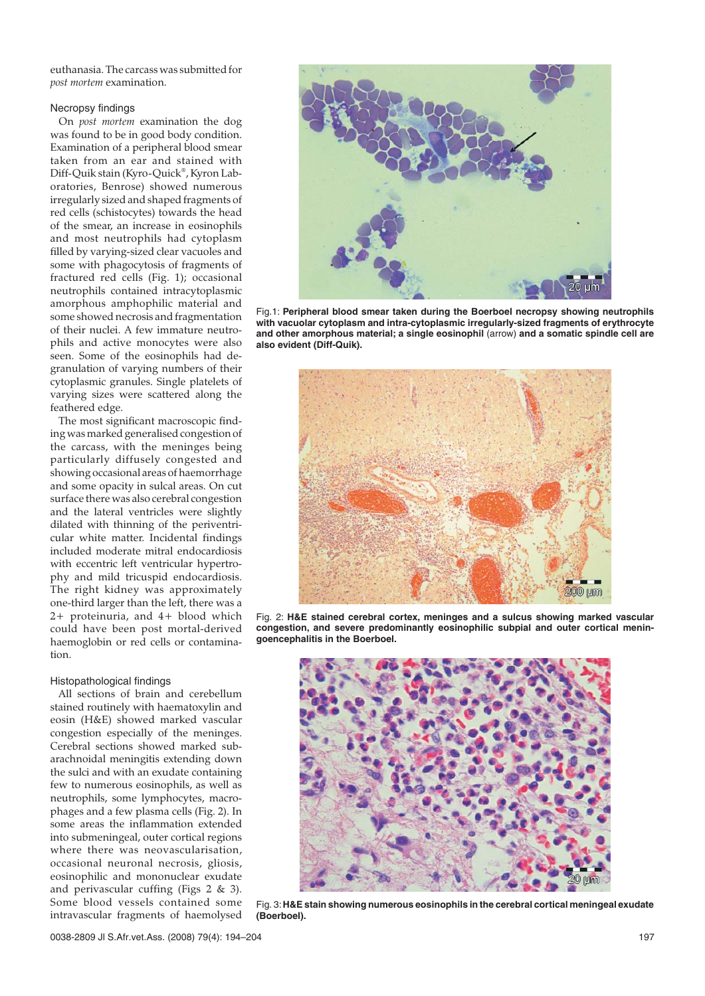euthanasia. The carcass was submitted for *post mortem* examination.

#### Necropsy findings

On *post mortem* examination the dog was found to be in good body condition. Examination of a peripheral blood smear taken from an ear and stained with Diff-Quik stain (Kyro-Quick® , Kyron Laboratories, Benrose) showed numerous irregularly sized and shaped fragments of red cells (schistocytes) towards the head of the smear, an increase in eosinophils and most neutrophils had cytoplasm filled by varying-sized clear vacuoles and some with phagocytosis of fragments of fractured red cells (Fig. 1); occasional neutrophils contained intracytoplasmic amorphous amphophilic material and some showed necrosis and fragmentation of their nuclei. A few immature neutrophils and active monocytes were also seen. Some of the eosinophils had degranulation of varying numbers of their cytoplasmic granules. Single platelets of varying sizes were scattered along the feathered edge.

The most significant macroscopic finding was marked generalised congestion of the carcass, with the meninges being particularly diffusely congested and showing occasional areas of haemorrhage and some opacity in sulcal areas. On cut surface there was also cerebral congestion and the lateral ventricles were slightly dilated with thinning of the periventricular white matter. Incidental findings included moderate mitral endocardiosis with eccentric left ventricular hypertrophy and mild tricuspid endocardiosis. The right kidney was approximately one-third larger than the left, there was a 2+ proteinuria, and 4+ blood which could have been post mortal-derived haemoglobin or red cells or contamination.

# Histopathological findings

All sections of brain and cerebellum stained routinely with haematoxylin and eosin (H&E) showed marked vascular congestion especially of the meninges. Cerebral sections showed marked subarachnoidal meningitis extending down the sulci and with an exudate containing few to numerous eosinophils, as well as neutrophils, some lymphocytes, macrophages and a few plasma cells (Fig. 2). In some areas the inflammation extended into submeningeal, outer cortical regions where there was neovascularisation. occasional neuronal necrosis, gliosis, eosinophilic and mononuclear exudate and perivascular cuffing (Figs 2 & 3). Some blood vessels contained some intravascular fragments of haemolysed



Fig.1: **Peripheral blood smear taken during the Boerboel necropsy showing neutrophils with vacuolar cytoplasm and intra-cytoplasmic irregularly-sized fragments of erythrocyte and other amorphous material; a single eosinophil** (arrow) **and a somatic spindle cell are also evident (Diff-Quik).**



Fig. 2: **H&E stained cerebral cortex, meninges and a sulcus showing marked vascular congestion, and severe predominantly eosinophilic subpial and outer cortical meningoencephalitis in the Boerboel.**



Fig. 3:**H&E stain showing numerous eosinophils in the cerebral cortical meningeal exudate (Boerboel).**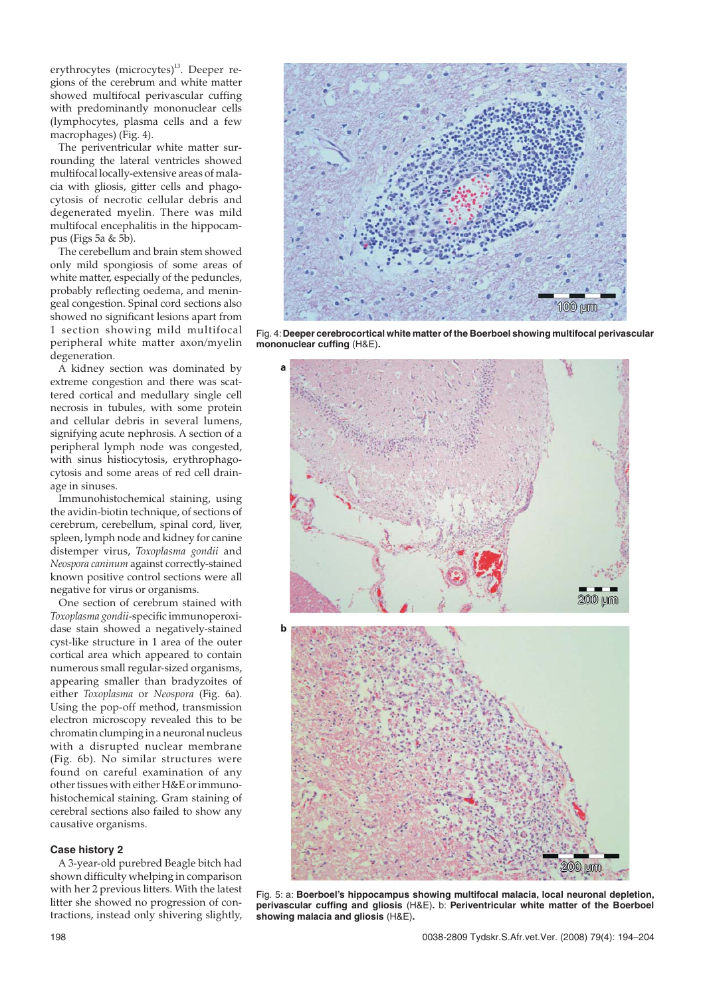erythrocytes (microcytes) $^{13}$ . Deeper regions of the cerebrum and white matter showed multifocal perivascular cuffing with predominantly mononuclear cells (lymphocytes, plasma cells and a few macrophages) (Fig. 4).

The periventricular white matter surrounding the lateral ventricles showed multifocal locally-extensive areas of malacia with gliosis, gitter cells and phagocytosis of necrotic cellular debris and degenerated myelin. There was mild multifocal encephalitis in the hippocampus (Figs 5a & 5b).

The cerebellum and brain stem showed only mild spongiosis of some areas of white matter, especially of the peduncles, probably reflecting oedema, and meningeal congestion. Spinal cord sections also showed no significant lesions apart from 1 section showing mild multifocal peripheral white matter axon/myelin degeneration.

A kidney section was dominated by extreme congestion and there was scattered cortical and medullary single cell necrosis in tubules, with some protein and cellular debris in several lumens, signifying acute nephrosis. A section of a peripheral lymph node was congested, with sinus histiocytosis, erythrophagocytosis and some areas of red cell drainage in sinuses.

Immunohistochemical staining, using the avidin-biotin technique, of sections of cerebrum, cerebellum, spinal cord, liver, spleen, lymph node and kidney for canine distemper virus, *Toxoplasma gondii* and *Neospora caninum* against correctly-stained known positive control sections were all negative for virus or organisms.

One section of cerebrum stained with *Toxoplasma gondii*-specific immunoperoxidase stain showed a negatively-stained cyst-like structure in 1 area of the outer cortical area which appeared to contain numerous small regular-sized organisms, appearing smaller than bradyzoites of either *Toxoplasma* or *Neospora* (Fig. 6a). Using the pop-off method, transmission electron microscopy revealed this to be chromatin clumping in a neuronal nucleus with a disrupted nuclear membrane (Fig. 6b). No similar structures were found on careful examination of any other tissues with either H&E or immunohistochemical staining. Gram staining of cerebral sections also failed to show any causative organisms.

# **Case history 2**

A 3-year-old purebred Beagle bitch had shown difficulty whelping in comparison with her 2 previous litters. With the latest litter she showed no progression of contractions, instead only shivering slightly,



Fig. 4:**Deeper cerebrocortical white matter of the Boerboel showing multifocal perivascular mononuclear cuffing** (H&E)**.**



Fig. 5: a: **Boerboel's hippocampus showing multifocal malacia, local neuronal depletion, perivascular cuffing and gliosis** (H&E)**.** b: **Periventricular white matter of the Boerboel showing malacia and gliosis** (H&E)**.**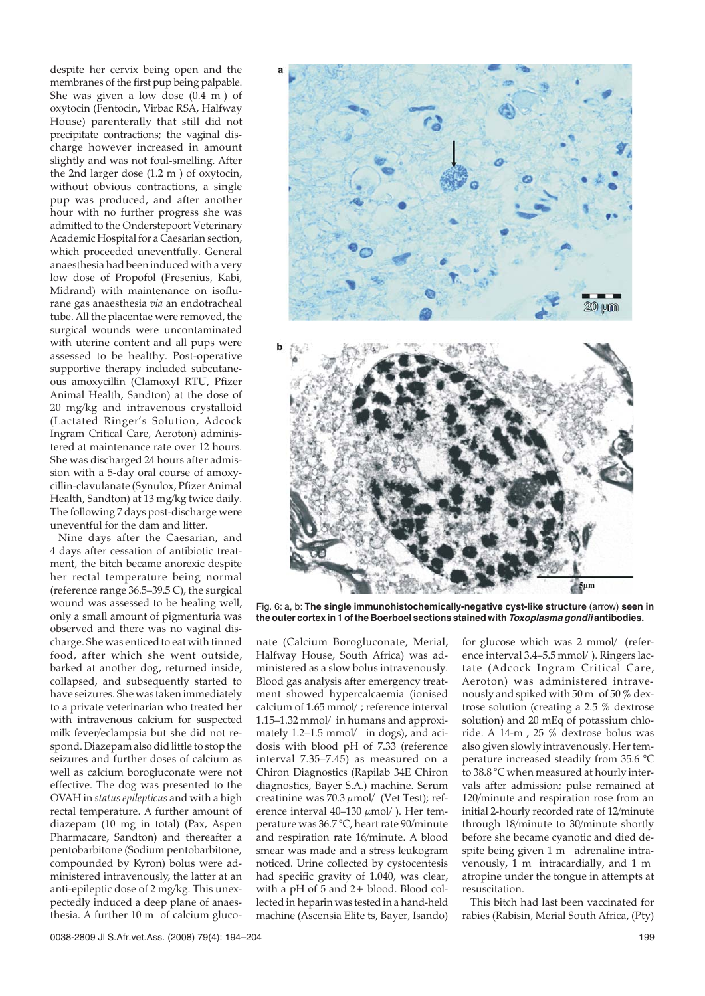despite her cervix being open and the membranes of the first pup being palpable. She was given a low dose (0.4 m ) of oxytocin (Fentocin, Virbac RSA, Halfway House) parenterally that still did not precipitate contractions; the vaginal discharge however increased in amount slightly and was not foul-smelling. After the 2nd larger dose (1.2 m ) of oxytocin, without obvious contractions, a single pup was produced, and after another hour with no further progress she was admitted to the Onderstepoort Veterinary Academic Hospital for a Caesarian section, which proceeded uneventfully. General anaesthesia had been induced with a very low dose of Propofol (Fresenius, Kabi, Midrand) with maintenance on isoflurane gas anaesthesia *via* an endotracheal tube. All the placentae were removed, the surgical wounds were uncontaminated with uterine content and all pups were assessed to be healthy. Post-operative supportive therapy included subcutaneous amoxycillin (Clamoxyl RTU, Pfizer Animal Health, Sandton) at the dose of 20 mg/kg and intravenous crystalloid (Lactated Ringer's Solution, Adcock Ingram Critical Care, Aeroton) administered at maintenance rate over 12 hours. She was discharged 24 hours after admission with a 5-day oral course of amoxycillin-clavulanate (Synulox, Pfizer Animal Health, Sandton) at 13 mg/kg twice daily. The following 7 days post-discharge were uneventful for the dam and litter.

Nine days after the Caesarian, and 4 days after cessation of antibiotic treatment, the bitch became anorexic despite her rectal temperature being normal (reference range 36.5–39.5 C), the surgical wound was assessed to be healing well, only a small amount of pigmenturia was observed and there was no vaginal discharge. She was enticed to eat with tinned food, after which she went outside, barked at another dog, returned inside, collapsed, and subsequently started to have seizures. She was taken immediately to a private veterinarian who treated her with intravenous calcium for suspected milk fever/eclampsia but she did not respond. Diazepam also did little to stop the seizures and further doses of calcium as well as calcium borogluconate were not effective. The dog was presented to the OVAH in *status epilepticus* and with a high rectal temperature. A further amount of diazepam (10 mg in total) (Pax, Aspen Pharmacare, Sandton) and thereafter a pentobarbitone (Sodium pentobarbitone, compounded by Kyron) bolus were administered intravenously, the latter at an anti-epileptic dose of 2 mg/kg. This unexpectedly induced a deep plane of anaesthesia. A further 10 m of calcium gluco-



Fig. 6: a, b: **The single immunohistochemically-negative cyst-like structure** (arrow) **seen in the outer cortex in 1 of the Boerboel sections stained with Toxoplasma gondii antibodies.**

nate (Calcium Borogluconate, Merial, Halfway House, South Africa) was administered as a slow bolus intravenously. Blood gas analysis after emergency treatment showed hypercalcaemia (ionised calcium of 1.65 mmol/ ; reference interval 1.15–1.32 mmol/ in humans and approximately 1.2–1.5 mmol/ in dogs), and acidosis with blood pH of 7.33 (reference interval 7.35–7.45) as measured on a Chiron Diagnostics (Rapilab 34E Chiron diagnostics, Bayer S.A.) machine. Serum creatinine was  $70.3 \mu$ mol/ (Vet Test); reference interval  $40-130 \mu$ mol/). Her temperature was 36.7 °C, heart rate 90/minute and respiration rate 16/minute. A blood smear was made and a stress leukogram noticed. Urine collected by cystocentesis had specific gravity of 1.040, was clear, with a pH of 5 and 2+ blood. Blood collected in heparin was tested in a hand-held machine (Ascensia Elite ts, Bayer, Isando)

for glucose which was 2 mmol/ (reference interval 3.4–5.5 mmol/ ). Ringers lactate (Adcock Ingram Critical Care, Aeroton) was administered intravenously and spiked with 50 m of 50 % dextrose solution (creating a 2.5 % dextrose solution) and 20 mEq of potassium chloride. A 14-m , 25 % dextrose bolus was also given slowly intravenously. Her temperature increased steadily from 35.6 °C to 38.8 °C when measured at hourly intervals after admission; pulse remained at 120/minute and respiration rose from an initial 2-hourly recorded rate of 12/minute through 18/minute to 30/minute shortly before she became cyanotic and died despite being given 1 m adrenaline intravenously, 1 m intracardially, and 1 m atropine under the tongue in attempts at resuscitation.

This bitch had last been vaccinated for rabies (Rabisin, Merial South Africa, (Pty)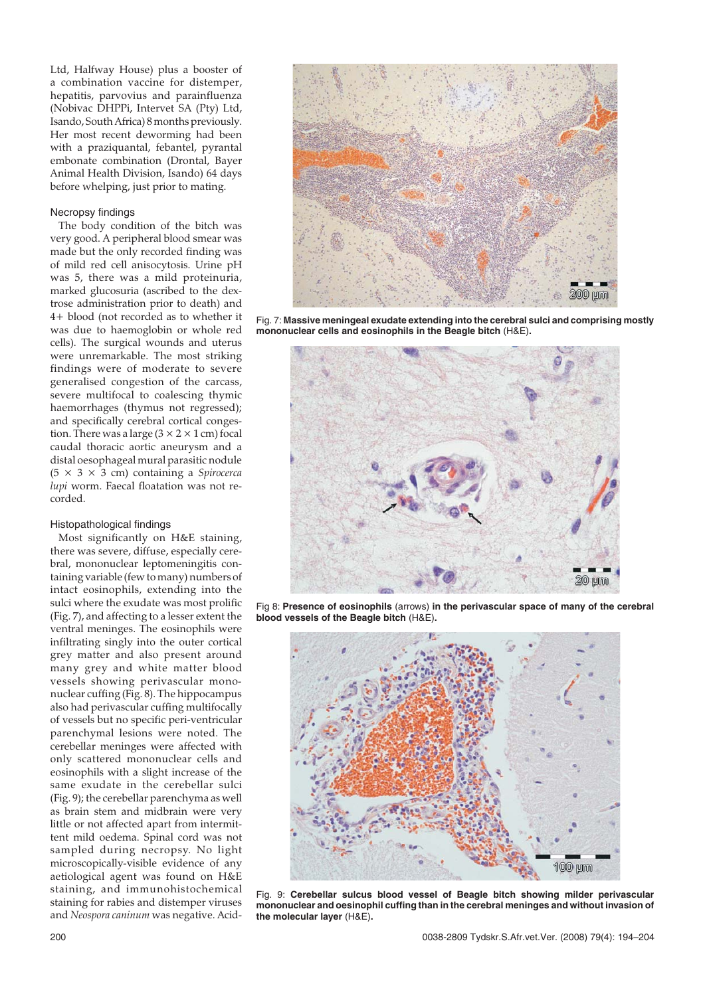Ltd, Halfway House) plus a booster of a combination vaccine for distemper, hepatitis, parvovius and parainfluenza (Nobivac DHPPi, Intervet SA (Pty) Ltd, Isando, South Africa) 8 months previously. Her most recent deworming had been with a praziquantal, febantel, pyrantal embonate combination (Drontal, Bayer Animal Health Division, Isando) 64 days before whelping, just prior to mating.

## Necropsy findings

The body condition of the bitch was very good. A peripheral blood smear was made but the only recorded finding was of mild red cell anisocytosis. Urine pH was 5, there was a mild proteinuria, marked glucosuria (ascribed to the dextrose administration prior to death) and 4+ blood (not recorded as to whether it was due to haemoglobin or whole red cells). The surgical wounds and uterus were unremarkable. The most striking findings were of moderate to severe generalised congestion of the carcass, severe multifocal to coalescing thymic haemorrhages (thymus not regressed); and specifically cerebral cortical congestion. There was a large  $(3 \times 2 \times 1$  cm) focal caudal thoracic aortic aneurysm and a distal oesophageal mural parasitic nodule (5 × 3 × 3 cm) containing a *Spirocerca lupi* worm. Faecal floatation was not recorded.

#### Histopathological findings

Most significantly on H&E staining, there was severe, diffuse, especially cerebral, mononuclear leptomeningitis containing variable (few to many) numbers of intact eosinophils, extending into the sulci where the exudate was most prolific (Fig. 7), and affecting to a lesser extent the ventral meninges. The eosinophils were infiltrating singly into the outer cortical grey matter and also present around many grey and white matter blood vessels showing perivascular mononuclear cuffing (Fig. 8). The hippocampus also had perivascular cuffing multifocally of vessels but no specific peri-ventricular parenchymal lesions were noted. The cerebellar meninges were affected with only scattered mononuclear cells and eosinophils with a slight increase of the same exudate in the cerebellar sulci (Fig. 9); the cerebellar parenchyma as well as brain stem and midbrain were very little or not affected apart from intermittent mild oedema. Spinal cord was not sampled during necropsy. No light microscopically-visible evidence of any aetiological agent was found on H&E staining, and immunohistochemical staining for rabies and distemper viruses and *Neospora caninum* was negative. Acid-



Fig. 7: **Massive meningeal exudate extending into the cerebral sulci and comprising mostly mononuclear cells and eosinophils in the Beagle bitch** (H&E)**.**



Fig 8: **Presence of eosinophils** (arrows) **in the perivascular space of many of the cerebral blood vessels of the Beagle bitch** (H&E)**.**



Fig. 9: **Cerebellar sulcus blood vessel of Beagle bitch showing milder perivascular mononuclear and oesinophil cuffing than in the cerebral meninges and without invasion of the molecular layer** (H&E)**.**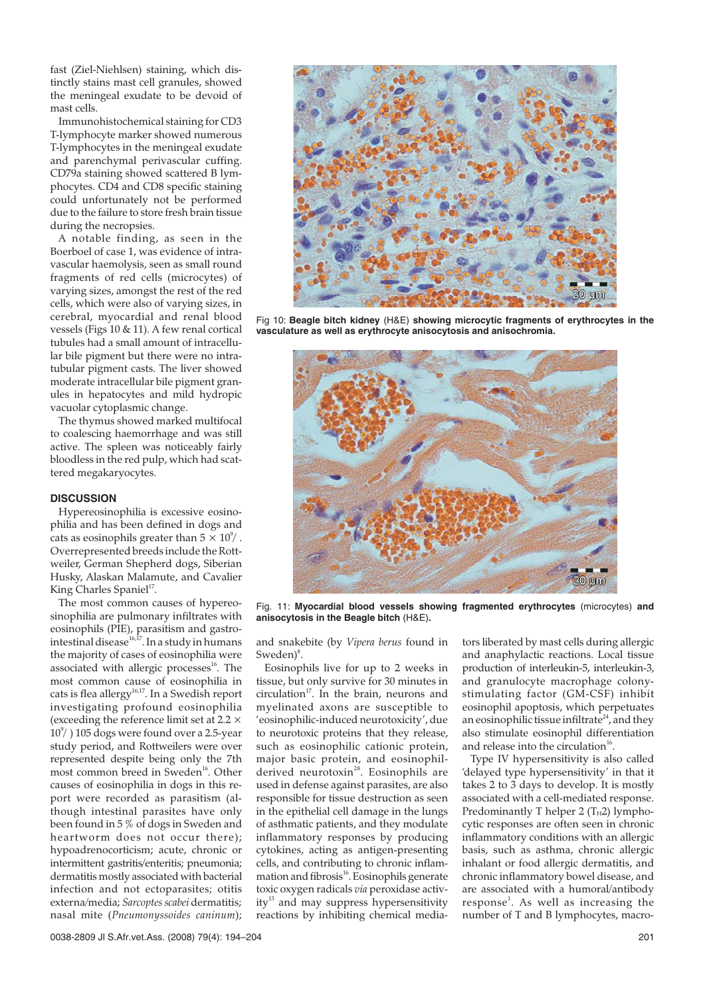fast (Ziel-Niehlsen) staining, which distinctly stains mast cell granules, showed the meningeal exudate to be devoid of mast cells.

Immunohistochemical staining for CD3 T-lymphocyte marker showed numerous T-lymphocytes in the meningeal exudate and parenchymal perivascular cuffing. CD79a staining showed scattered B lymphocytes. CD4 and CD8 specific staining could unfortunately not be performed due to the failure to store fresh brain tissue during the necropsies.

A notable finding, as seen in the Boerboel of case 1, was evidence of intravascular haemolysis, seen as small round fragments of red cells (microcytes) of varying sizes, amongst the rest of the red cells, which were also of varying sizes, in cerebral, myocardial and renal blood vessels (Figs 10 & 11). A few renal cortical tubules had a small amount of intracellular bile pigment but there were no intratubular pigment casts. The liver showed moderate intracellular bile pigment granules in hepatocytes and mild hydropic vacuolar cytoplasmic change.

The thymus showed marked multifocal to coalescing haemorrhage and was still active. The spleen was noticeably fairly bloodless in the red pulp, which had scattered megakaryocytes.

#### **DISCUSSION**

Hypereosinophilia is excessive eosinophilia and has been defined in dogs and cats as eosinophils greater than  $5 \times 10^9$  . Overrepresented breeds include the Rottweiler, German Shepherd dogs, Siberian Husky, Alaskan Malamute, and Cavalier King Charles Spaniel<sup>17</sup>.

The most common causes of hypereosinophilia are pulmonary infiltrates with eosinophils (PIE), parasitism and gastrointestinal disease<sup>16,17</sup>. In a study in humans the majority of cases of eosinophilia were associated with allergic processes $^{16}$ . The most common cause of eosinophilia in cats is flea allergy<sup>16,17</sup>. In a Swedish report investigating profound eosinophilia (exceeding the reference limit set at  $2.2 \times$  $10^{\circ}\!/$  )  $105$  dogs were found over a 2.5-year study period, and Rottweilers were over represented despite being only the 7th most common breed in Sweden<sup>16</sup>. Other causes of eosinophilia in dogs in this report were recorded as parasitism (although intestinal parasites have only been found in 5 % of dogs in Sweden and heartworm does not occur there); hypoadrenocorticism; acute, chronic or intermittent gastritis/enteritis; pneumonia; dermatitis mostly associated with bacterial infection and not ectoparasites; otitis externa/media; *Sarcoptes scabei* dermatitis; nasal mite (*Pneumonyssoides caninum*);



Fig 10: **Beagle bitch kidney** (H&E) **showing microcytic fragments of erythrocytes in the vasculature as well as erythrocyte anisocytosis and anisochromia.**



Fig. 11: **Myocardial blood vessels showing fragmented erythrocytes** (microcytes) **and anisocytosis in the Beagle bitch** (H&E)**.**

and snakebite (by *Vipera berus* found in  $Sweden)^8$ .

Eosinophils live for up to 2 weeks in tissue, but only survive for 30 minutes in circulation<sup>17</sup>. In the brain, neurons and myelinated axons are susceptible to 'eosinophilic-induced neurotoxicity', due to neurotoxic proteins that they release, such as eosinophilic cationic protein, major basic protein, and eosinophilderived neurotoxin<sup>28</sup>. Eosinophils are used in defense against parasites, are also responsible for tissue destruction as seen in the epithelial cell damage in the lungs of asthmatic patients, and they modulate inflammatory responses by producing cytokines, acting as antigen-presenting cells, and contributing to chronic inflammation and fibrosis $^{16}$ . Eosinophils generate toxic oxygen radicals *via* peroxidase activity<sup>13</sup> and may suppress hypersensitivity reactions by inhibiting chemical media-

tors liberated by mast cells during allergic and anaphylactic reactions. Local tissue production of interleukin-5, interleukin-3, and granulocyte macrophage colonystimulating factor (GM-CSF) inhibit eosinophil apoptosis, which perpetuates an eosinophilic tissue infiltrate<sup>24</sup>, and they also stimulate eosinophil differentiation and release into the circulation $16$ .

Type IV hypersensitivity is also called 'delayed type hypersensitivity' in that it takes 2 to 3 days to develop. It is mostly associated with a cell-mediated response. Predominantly T helper 2  $(T_H2)$  lymphocytic responses are often seen in chronic inflammatory conditions with an allergic basis, such as asthma, chronic allergic inhalant or food allergic dermatitis, and chronic inflammatory bowel disease, and are associated with a humoral/antibody response<sup>1</sup>. As well as increasing the number of T and B lymphocytes, macro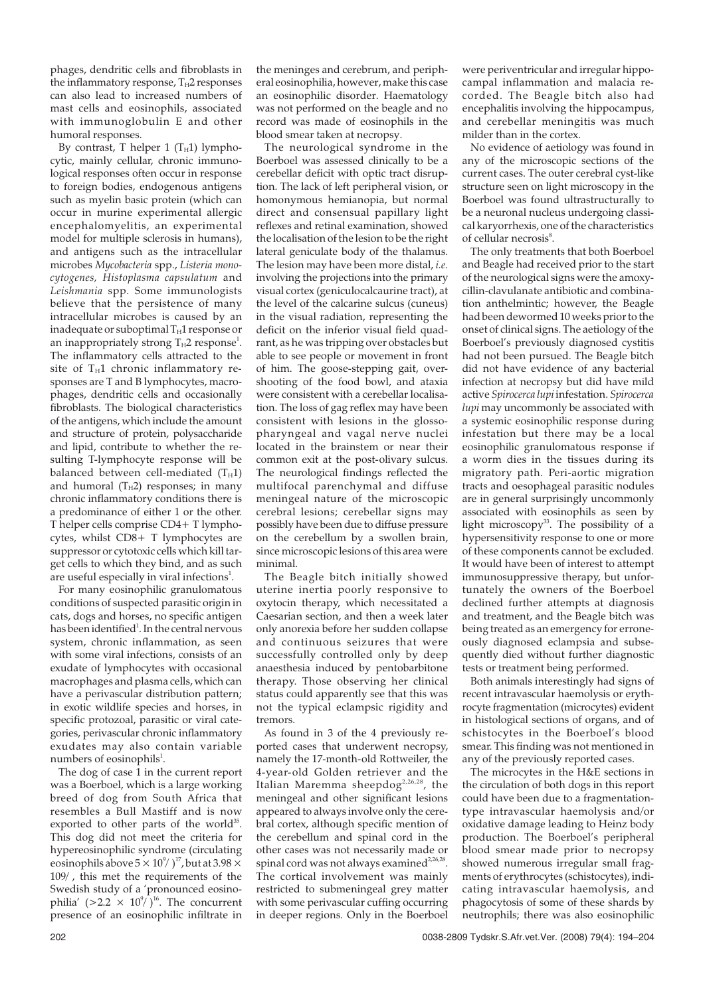phages, dendritic cells and fibroblasts in the inflammatory response,  $T_H2$  responses can also lead to increased numbers of mast cells and eosinophils, associated with immunoglobulin E and other humoral responses.

By contrast, T helper 1 (T $_H$ 1) lymphocytic, mainly cellular, chronic immunological responses often occur in response to foreign bodies, endogenous antigens such as myelin basic protein (which can occur in murine experimental allergic encephalomyelitis, an experimental model for multiple sclerosis in humans), and antigens such as the intracellular microbes *Mycobacteria* spp., *Listeria monocytogenes, Histoplasma capsulatum* and *Leishmania* spp. Some immunologists believe that the persistence of many intracellular microbes is caused by an inadequate or suboptimal  $T_H1$  response or an inappropriately strong T $_{\rm H}$ 2 response<sup>1</sup>. The inflammatory cells attracted to the site of  $T_H1$  chronic inflammatory responses are T and B lymphocytes, macrophages, dendritic cells and occasionally fibroblasts. The biological characteristics of the antigens, which include the amount and structure of protein, polysaccharide and lipid, contribute to whether the resulting T-lymphocyte response will be balanced between cell-mediated  $(T_H1)$ and humoral ( $T_H2$ ) responses; in many chronic inflammatory conditions there is a predominance of either 1 or the other. T helper cells comprise CD4+ T lymphocytes, whilst CD8+ T lymphocytes are suppressor or cytotoxic cells which kill target cells to which they bind, and as such are useful especially in viral infections $^{\text{!}}.$ 

For many eosinophilic granulomatous conditions of suspected parasitic origin in cats, dogs and horses, no specific antigen has been identified $^1$ . In the central nervous system, chronic inflammation, as seen with some viral infections, consists of an exudate of lymphocytes with occasional macrophages and plasma cells, which can have a perivascular distribution pattern; in exotic wildlife species and horses, in specific protozoal, parasitic or viral categories, perivascular chronic inflammatory exudates may also contain variable numbers of eosinophils<sup>1</sup>.

The dog of case 1 in the current report was a Boerboel, which is a large working breed of dog from South Africa that resembles a Bull Mastiff and is now exported to other parts of the world<sup>35</sup>. This dog did not meet the criteria for hypereosinophilic syndrome (circulating eosinophils above  $5\times10^9/$  ) $^{17}$ , but at 3.98  $\times$ 109/ , this met the requirements of the Swedish study of a 'pronounced eosinophilia' (>2.2  $\times$  10 $^\circ$ /)<sup>16</sup>. The concurrent presence of an eosinophilic infiltrate in

the meninges and cerebrum, and peripheral eosinophilia, however, make this case an eosinophilic disorder. Haematology was not performed on the beagle and no record was made of eosinophils in the blood smear taken at necropsy.

The neurological syndrome in the Boerboel was assessed clinically to be a cerebellar deficit with optic tract disruption. The lack of left peripheral vision, or homonymous hemianopia, but normal direct and consensual papillary light reflexes and retinal examination, showed the localisation of the lesion to be the right lateral geniculate body of the thalamus. The lesion may have been more distal, *i.e.* involving the projections into the primary visual cortex (geniculocalcaurine tract), at the level of the calcarine sulcus (cuneus) in the visual radiation, representing the deficit on the inferior visual field quadrant, as he was tripping over obstacles but able to see people or movement in front of him. The goose-stepping gait, overshooting of the food bowl, and ataxia were consistent with a cerebellar localisation. The loss of gag reflex may have been consistent with lesions in the glossopharyngeal and vagal nerve nuclei located in the brainstem or near their common exit at the post-olivary sulcus. The neurological findings reflected the multifocal parenchymal and diffuse meningeal nature of the microscopic cerebral lesions; cerebellar signs may possibly have been due to diffuse pressure on the cerebellum by a swollen brain, since microscopic lesions of this area were minimal.

The Beagle bitch initially showed uterine inertia poorly responsive to oxytocin therapy, which necessitated a Caesarian section, and then a week later only anorexia before her sudden collapse and continuous seizures that were successfully controlled only by deep anaesthesia induced by pentobarbitone therapy. Those observing her clinical status could apparently see that this was not the typical eclampsic rigidity and tremors.

As found in 3 of the 4 previously reported cases that underwent necropsy, namely the 17-month-old Rottweiler, the 4-year-old Golden retriever and the Italian Maremma sheepdog<sup>2,26,28</sup>, the meningeal and other significant lesions appeared to always involve only the cerebral cortex, although specific mention of the cerebellum and spinal cord in the other cases was not necessarily made or spinal cord was not always examined $2,26,28$ The cortical involvement was mainly restricted to submeningeal grey matter with some perivascular cuffing occurring in deeper regions. Only in the Boerboel

were periventricular and irregular hippocampal inflammation and malacia recorded. The Beagle bitch also had encephalitis involving the hippocampus, and cerebellar meningitis was much milder than in the cortex.

No evidence of aetiology was found in any of the microscopic sections of the current cases. The outer cerebral cyst-like structure seen on light microscopy in the Boerboel was found ultrastructurally to be a neuronal nucleus undergoing classical karyorrhexis, one of the characteristics of cellular necrosis<sup>8</sup>.

The only treatments that both Boerboel and Beagle had received prior to the start of the neurological signs were the amoxycillin-clavulanate antibiotic and combination anthelmintic; however, the Beagle had been dewormed 10 weeks prior to the onset of clinical signs. The aetiology of the Boerboel's previously diagnosed cystitis had not been pursued. The Beagle bitch did not have evidence of any bacterial infection at necropsy but did have mild active *Spirocerca lupi* infestation. *Spirocerca lupi* may uncommonly be associated with a systemic eosinophilic response during infestation but there may be a local eosinophilic granulomatous response if a worm dies in the tissues during its migratory path. Peri-aortic migration tracts and oesophageal parasitic nodules are in general surprisingly uncommonly associated with eosinophils as seen by light microscopy<sup>33</sup>. The possibility of a hypersensitivity response to one or more of these components cannot be excluded. It would have been of interest to attempt immunosuppressive therapy, but unfortunately the owners of the Boerboel declined further attempts at diagnosis and treatment, and the Beagle bitch was being treated as an emergency for erroneously diagnosed eclampsia and subsequently died without further diagnostic tests or treatment being performed.

Both animals interestingly had signs of recent intravascular haemolysis or erythrocyte fragmentation (microcytes) evident in histological sections of organs, and of schistocytes in the Boerboel's blood smear. This finding was not mentioned in any of the previously reported cases.

The microcytes in the H&E sections in the circulation of both dogs in this report could have been due to a fragmentationtype intravascular haemolysis and/or oxidative damage leading to Heinz body production. The Boerboel's peripheral blood smear made prior to necropsy showed numerous irregular small fragments of erythrocytes (schistocytes), indicating intravascular haemolysis, and phagocytosis of some of these shards by neutrophils; there was also eosinophilic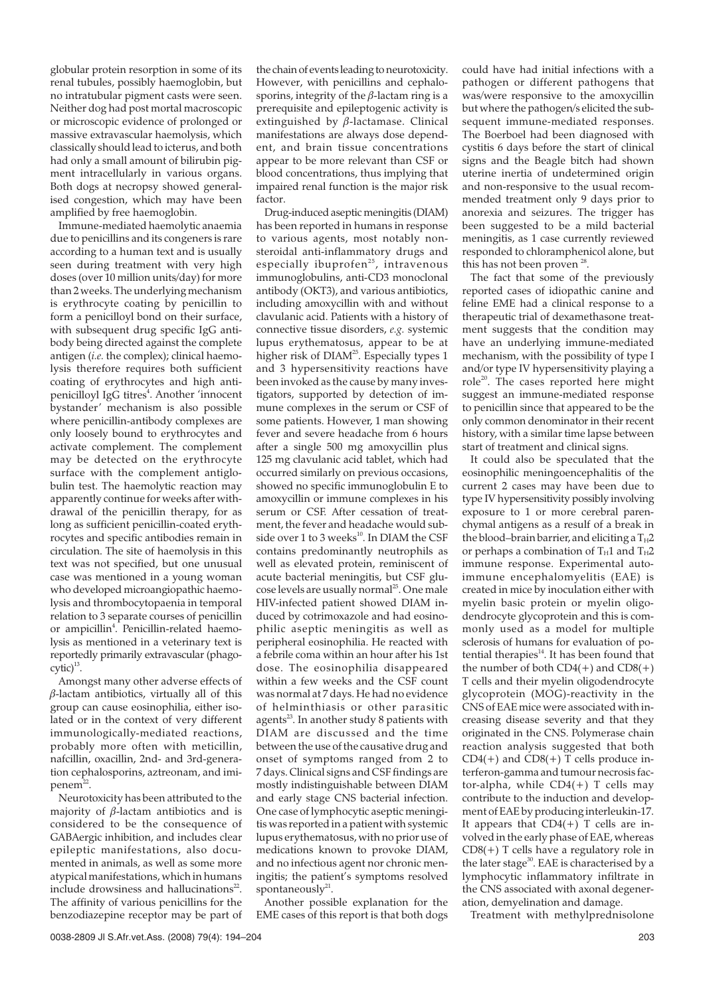globular protein resorption in some of its renal tubules, possibly haemoglobin, but no intratubular pigment casts were seen. Neither dog had post mortal macroscopic or microscopic evidence of prolonged or massive extravascular haemolysis, which classically should lead to icterus, and both had only a small amount of bilirubin pigment intracellularly in various organs. Both dogs at necropsy showed generalised congestion, which may have been amplified by free haemoglobin.

Immune-mediated haemolytic anaemia due to penicillins and its congeners is rare according to a human text and is usually seen during treatment with very high doses (over 10 million units/day) for more than 2 weeks. The underlying mechanism is erythrocyte coating by penicillin to form a penicilloyl bond on their surface, with subsequent drug specific IgG antibody being directed against the complete antigen (*i.e.* the complex); clinical haemolysis therefore requires both sufficient coating of erythrocytes and high antipenicilloyl IgG titres<sup>4</sup>. Another 'innocent bystander' mechanism is also possible where penicillin-antibody complexes are only loosely bound to erythrocytes and activate complement. The complement may be detected on the erythrocyte surface with the complement antiglobulin test. The haemolytic reaction may apparently continue for weeks after withdrawal of the penicillin therapy, for as long as sufficient penicillin-coated erythrocytes and specific antibodies remain in circulation. The site of haemolysis in this text was not specified, but one unusual case was mentioned in a young woman who developed microangiopathic haemolysis and thrombocytopaenia in temporal relation to 3 separate courses of penicillin or ampicillin<sup>4</sup>. Penicillin-related haemolysis as mentioned in a veterinary text is reportedly primarily extravascular (phago $cvtic)^{13}$ .

Amongst many other adverse effects of  $\beta$ -lactam antibiotics, virtually all of this group can cause eosinophilia, either isolated or in the context of very different immunologically-mediated reactions, probably more often with meticillin, nafcillin, oxacillin, 2nd- and 3rd-generation cephalosporins, aztreonam, and imi $p$ enem<sup> $22$ </sup>.

Neurotoxicity has been attributed to the majority of β-lactam antibiotics and is considered to be the consequence of GABAergic inhibition, and includes clear epileptic manifestations, also documented in animals, as well as some more atypical manifestations, which in humans include drowsiness and hallucinations<sup>22</sup>. The affinity of various penicillins for the benzodiazepine receptor may be part of the chain of events leading to neurotoxicity. However, with penicillins and cephalosporins, integrity of the  $\beta$ -lactam ring is a prerequisite and epileptogenic activity is extinguished by β-lactamase. Clinical manifestations are always dose dependent, and brain tissue concentrations appear to be more relevant than CSF or blood concentrations, thus implying that impaired renal function is the major risk factor.

Drug-induced aseptic meningitis (DIAM) has been reported in humans in response to various agents, most notably nonsteroidal anti-inflammatory drugs and especially ibuprofen<sup>25</sup>, intravenous immunoglobulins, anti-CD3 monoclonal antibody (OKT3), and various antibiotics, including amoxycillin with and without clavulanic acid. Patients with a history of connective tissue disorders, *e.g.* systemic lupus erythematosus, appear to be at higher risk of DIAM<sup>25</sup>. Especially types 1 and 3 hypersensitivity reactions have been invoked as the cause by many investigators, supported by detection of immune complexes in the serum or CSF of some patients. However, 1 man showing fever and severe headache from 6 hours after a single 500 mg amoxycillin plus 125 mg clavulanic acid tablet, which had occurred similarly on previous occasions, showed no specific immunoglobulin E to amoxycillin or immune complexes in his serum or CSF. After cessation of treatment, the fever and headache would subside over 1 to 3 weeks<sup>10</sup>. In DIAM the CSF contains predominantly neutrophils as well as elevated protein, reminiscent of acute bacterial meningitis, but CSF glucose levels are usually normal<sup>25</sup>. One male HIV-infected patient showed DIAM induced by cotrimoxazole and had eosinophilic aseptic meningitis as well as peripheral eosinophilia. He reacted with a febrile coma within an hour after his 1st dose. The eosinophilia disappeared within a few weeks and the CSF count was normal at 7 days. He had no evidence of helminthiasis or other parasitic agents<sup>23</sup>. In another study 8 patients with DIAM are discussed and the time between the use of the causative drug and onset of symptoms ranged from 2 to 7 days. Clinical signs and CSF findings are mostly indistinguishable between DIAM and early stage CNS bacterial infection. One case of lymphocytic aseptic meningitis was reported in a patient with systemic lupus erythematosus, with no prior use of medications known to provoke DIAM, and no infectious agent nor chronic meningitis; the patient's symptoms resolved spontaneously $^{21}$ .

Another possible explanation for the EME cases of this report is that both dogs

could have had initial infections with a pathogen or different pathogens that was/were responsive to the amoxycillin but where the pathogen/s elicited the subsequent immune-mediated responses. The Boerboel had been diagnosed with cystitis 6 days before the start of clinical signs and the Beagle bitch had shown uterine inertia of undetermined origin and non-responsive to the usual recommended treatment only 9 days prior to anorexia and seizures. The trigger has been suggested to be a mild bacterial meningitis, as 1 case currently reviewed responded to chloramphenicol alone, but this has not been proven 28.

The fact that some of the previously reported cases of idiopathic canine and feline EME had a clinical response to a therapeutic trial of dexamethasone treatment suggests that the condition may have an underlying immune-mediated mechanism, with the possibility of type I and/or type IV hypersensitivity playing a role20. The cases reported here might suggest an immune-mediated response to penicillin since that appeared to be the only common denominator in their recent history, with a similar time lapse between start of treatment and clinical signs.

It could also be speculated that the eosinophilic meningoencephalitis of the current 2 cases may have been due to type IV hypersensitivity possibly involving exposure to 1 or more cerebral parenchymal antigens as a resulf of a break in the blood–brain barrier, and eliciting a  $T_H2$ or perhaps a combination of  $T_H1$  and  $T_H2$ immune response. Experimental autoimmune encephalomyelitis (EAE) is created in mice by inoculation either with myelin basic protein or myelin oligodendrocyte glycoprotein and this is commonly used as a model for multiple sclerosis of humans for evaluation of potential therapies<sup>14</sup>. It has been found that the number of both  $CD4(+)$  and  $CD8(+)$ T cells and their myelin oligodendrocyte glycoprotein (MOG)-reactivity in the CNS of EAE mice were associated with increasing disease severity and that they originated in the CNS. Polymerase chain reaction analysis suggested that both  $CD4(+)$  and  $CD8(+)$  T cells produce interferon-gamma and tumour necrosis factor-alpha, while  $CD4(+)$  T cells may contribute to the induction and development of EAE by producing interleukin-17. It appears that  $CD4(+)$  T cells are involved in the early phase of EAE, whereas CD8(+) T cells have a regulatory role in the later stage<sup>30</sup>. EAE is characterised by a lymphocytic inflammatory infiltrate in the CNS associated with axonal degeneration, demyelination and damage.

Treatment with methylprednisolone